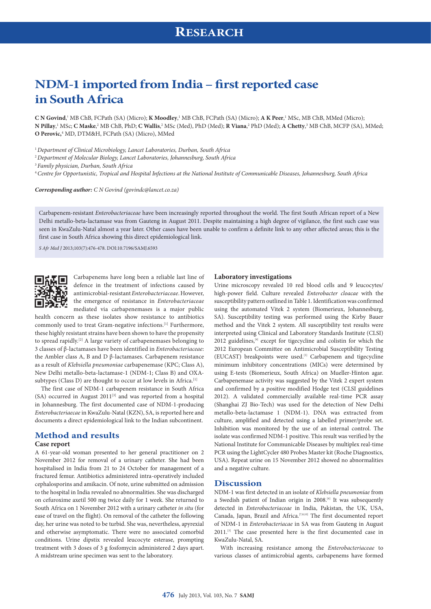# **NDM-1 imported from India – first reported case in South Africa**

**C N Govind**, <sup>1</sup> MB ChB, FCPath (SA) (Micro); **K Moodley**, <sup>1</sup> MB ChB, FCPath (SA) (Micro); **A K Peer**, 1 MSc, MB ChB, MMed (Micro); **N Pillay**, <sup>1</sup> MSc; **C Maske**, <sup>2</sup> MB ChB, PhD; **C Wallis**, <sup>2</sup> MSc (Med), PhD (Med); **R Viana**, <sup>2</sup> PhD (Med); **A Chetty**, <sup>3</sup> MB ChB, MCFP (SA), MMed; **O Perovic,**<sup>4</sup> MD, DTM&H, FCPath (SA) (Micro), MMed

<sup>1</sup>*Department of Clinical Microbiology, Lancet Laboratories, Durban, South Africa*

<sup>2</sup>*Department of Molecular Biology, Lancet Laboratories, Johannesburg, South Africa*

<sup>3</sup>*Family physician, Durban, South Africa*

<sup>4</sup>*Centre for Opportunistic, Tropical and Hospital Infections at the National Institute of Communicable Diseases, Johannesburg, South Africa*

*Corresponding author: C N Govind [\(govindc@lancet.co.za\)](mailto:govindc@lancet.co.za)*

Carbapenem-resistant *Enterobacteriaceae* have been increasingly reported throughout the world. The first South African report of a New Delhi metallo-beta-lactamase was from Gauteng in August 2011. Despite maintaining a high degree of vigilance, the first such case was seen in KwaZulu-Natal almost a year later. Other cases have been unable to confirm a definite link to any other affected areas; this is the first case in South Africa showing this direct epidemiological link.

*S Afr Med J* 2013;103(7):476-478. DOI:10.7196/SAMJ.6593



Carbapenems have long been a reliable last line of defence in the treatment of infections caused by antimicrobial-resistant *Enterobacteriaceae*. However, the emergence of resistance in *Enterobacteriaceae*  mediated via carbapenemases is a major public

health concern as these isolates show resistance to antibiotics commonly used to treat Gram-negative infections.[1] Furthermore, these highly resistant strains have been shown to have the propensity to spread rapidly.[2] A large variety of carbapenemases belonging to 3 classes of β-lactamases have been identified in *Enterobacteriaceae*: the Ambler class A, B and D β-lactamases. Carbapenem resistance as a result of *Klebsiella pneumoniae* carbapenemase (KPC; Class A), New Delhi metallo-beta-lactamase-1 (NDM-1; Class B) and OXAsubtypes (Class D) are thought to occur at low levels in Africa.<sup>[1]</sup>

The first case of NDM-1 carbapenem resistance in South Africa  $(SA)$  occurred in August 2011<sup>[3]</sup> and was reported from a hospital in Johannesburg. The first documented case of NDM-1-producing *Enterobacteriaecae* in KwaZulu-Natal (KZN), SA, is reported here and documents a direct epidemiological link to the Indian subcontinent.

## **Method and results**

#### **Case report**

A 61-year-old woman presented to her general practitioner on 2 November 2012 for removal of a urinary catheter. She had been hospitalised in India from 21 to 24 October for management of a fractured femur. Antibiotics administered intra-operatively included cephalosporins and amikacin. Of note, urine submitted on admission to the hospital in India revealed no abnormalities. She was discharged on cefuroxime axetil 500 mg twice daily for 1 week. She returned to South Africa on 1 November 2012 with a urinary catheter *in situ* (for ease of travel on the flight). On removal of the catheter the following day, her urine was noted to be turbid. She was, nevertheless, apyrexial and otherwise asymptomatic. There were no associated comorbid conditions. Urine dipstix revealed leucocyte esterase, prompting treatment with 3 doses of 3 g fosfomycin administered 2 days apart. A midstream urine specimen was sent to the laboratory.

### **Laboratory investigations**

Urine microscopy revealed 10 red blood cells and 9 leucocytes/ high-power field. Culture revealed *Enterobacter cloacae* with the susceptibility pattern outlined in Table 1. Identification was confirmed using the automated Vitek 2 system (Biomerieux, Johannesburg, SA). Susceptibility testing was performed using the Kirby Bauer method and the Vitek 2 system. All susceptibility test results were interpreted using Clinical and Laboratory Standards Institute (CLSI)  $2012$  guidelines,<sup>[4]</sup> except for tigecycline and colistin for which the 2012 European Committee on Antimicrobial Susceptibility Testing (EUCAST) breakpoints were used.<sup>[5]</sup> Carbapenem and tigecycline minimum inhibitory concentrations (MICs) were determined by using E-tests (Biomerieux, South Africa) on Mueller-Hinton agar. Carbapenemase activity was suggested by the Vitek 2 expert system and confirmed by a positive modified Hodge test (CLSI guidelines 2012). A validated commercially available real-time PCR assay (Shanghai ZJ Bio-Tech) was used for the detection of New Delhi metallo-beta-lactamase 1 (NDM-1). DNA was extracted from culture, amplified and detected using a labelled primer/probe set. Inhibition was monitored by the use of an internal control. The isolate was confirmed NDM-1 positive. This result was verified by the National Institute for Communicable Diseases by multiplex real-time PCR using the LightCycler 480 Probes Master kit (Roche Diagnostics, USA). Repeat urine on 15 November 2012 showed no abnormalities and a negative culture.

## **Discussion**

NDM-1 was first detected in an isolate of *Klebsiella pneumoniae* from a Swedish patient of Indian origin in 2008.<sup>[6]</sup> It was subsequently detected in *Enterobacteriaceae* in India, Pakistan, the UK, USA, Canada, Japan, Brazil and Africa.[7,8,10] The first documented report of NDM-1 in *Enterobacteriacae* in SA was from Gauteng in August 2011.[3] The case presented here is the first documented case in KwaZulu-Natal, SA.

With increasing resistance among the *Enterobacteriaceae* to various classes of antimicrobial agents, carbapenems have formed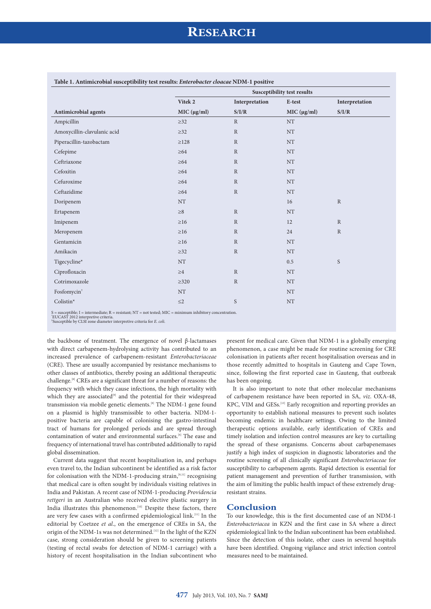|                             | Susceptibility test results |                |             |                |
|-----------------------------|-----------------------------|----------------|-------------|----------------|
|                             | Vitek 2                     | Interpretation | E-test      | Interpretation |
| Antimicrobial agents        | MIC (µg/ml)                 | S/I/R          | MIC (µg/ml) | S/I/R          |
| Ampicillin                  | $\geq$ 32                   | $\mathbb{R}$   | NT          |                |
| Amoxycillin-clavulanic acid | $\geq$ 32                   | $\mathbf R$    | <b>NT</b>   |                |
| Piperacillin-tazobactam     | $\geq$ 128                  | $\mathbb{R}$   | <b>NT</b>   |                |
| Cefepime                    | $\geq 64$                   | $\mathbb{R}$   | <b>NT</b>   |                |
| Ceftriaxone                 | $\geq 64$                   | ${\bf R}$      | NT          |                |
| Cefoxitin                   | $\geq 64$                   | $\mathbf R$    | $\rm{NT}$   |                |
| Cefuroxime                  | $\geq 64$                   | $\mathbb{R}$   | <b>NT</b>   |                |
| Ceftazidime                 | $\geq 64$                   | $\mathbf R$    | <b>NT</b>   |                |
| Doripenem                   | $\rm{NT}$                   |                | 16          | $\mathbb{R}$   |
| Ertapenem                   | $\geq 8$                    | $\mathbb R$    | <b>NT</b>   |                |
| Imipenem                    | $\geq$ 16                   | ${\bf R}$      | 12          | $\mathbb{R}$   |
| Meropenem                   | $\geq$ 16                   | $\mathbb{R}$   | 24          | $\mathbb{R}$   |
| Gentamicin                  | $\geq$ 16                   | ${\bf R}$      | $\rm{NT}$   |                |
| Amikacin                    | $\geq$ 32                   | $\mathbf R$    | $\rm{NT}$   |                |
| Tigecycline*                | $\rm{NT}$                   |                | 0.5         | S              |
| Ciprofloxacin               | $\geq 4$                    | $\mathbf R$    | NT          |                |
| Cotrimoxazole               | $\geq 320$                  | ${\bf R}$      | <b>NT</b>   |                |
| Fosfomycin <sup>+</sup>     | $\rm{NT}$                   |                | $\rm{NT}$   |                |
| Colistin*                   | $\leq$ 2                    | S              | <b>NT</b>   |                |

#### **Table 1. Antimicrobial susceptibility test results:** *Enterobacter cloacae* **NDM-1 positive**

S = susceptible; I = intermediate; R = resistant; NT = not tested; MIC = minimum inhibitory concentration.<br>'EUCAST 2012 interpretive criteria.<br>'Susceptible by CLSI zone diameter interpretive criteria for *E. coli.* 

the backbone of treatment. The emergence of novel β-lactamases with direct carbapenem-hydrolysing activity has contributed to an increased prevalence of carbapenem-resistant *Enterobacteriaceae* (CRE). These are usually accompanied by resistance mechanisms to other classes of antibiotics, thereby posing an additional therapeutic challenge.[8] CREs are a significant threat for a number of reasons: the frequency with which they cause infections, the high mortality with which they are associated<sup>[9]</sup> and the potential for their widespread transmission via mobile genetic elements.[8] The NDM-1 gene found on a plasmid is highly transmissible to other bacteria. NDM-1 positive bacteria are capable of colonising the gastro-intestinal tract of humans for prolonged periods and are spread through contamination of water and environmental surfaces.<sup>[6]</sup> The ease and frequency of international travel has contributed additionally to rapid global dissemination.

Current data suggest that recent hospitalisation in, and perhaps even travel to, the Indian subcontinent be identified as a risk factor for colonisation with the NDM-1-producing strain,<sup>[8,11]</sup> recognising that medical care is often sought by individuals visiting relatives in India and Pakistan. A recent case of NDM-1-producing *Providencia rettgeri* in an Australian who received elective plastic surgery in India illustrates this phenomenon.<sup>[10]</sup> Despite these factors, there are very few cases with a confirmed epidemiological link.[11] In the editorial by Coetzee *et al*., on the emergence of CREs in SA, the origin of the NDM-1s was not determined.<sup>[12]</sup> In the light of the KZN case, strong consideration should be given to screening patients (testing of rectal swabs for detection of NDM-1 carriage) with a history of recent hospitalisation in the Indian subcontinent who

present for medical care. Given that NDM-1 is a globally emerging phenomenon, a case might be made for routine screening for CRE colonisation in patients after recent hospitalisation overseas and in those recently admitted to hospitals in Gauteng and Cape Town, since, following the first reported case in Gauteng, that outbreak has been ongoing.

It is also important to note that other molecular mechanisms of carbapenem resistance have been reported in SA, *viz*. OXA-48, KPC, VIM and GESs.[13] Early recognition and reporting provides an opportunity to establish national measures to prevent such isolates becoming endemic in healthcare settings. Owing to the limited therapeutic options available, early identification of CREs and timely isolation and infection control measures are key to curtailing the spread of these organisms. Concerns about carbapenemases justify a high index of suspicion in diagnostic laboratories and the routine screening of all clinically significant *Enterobacteriaceae* for susceptibility to carbapenem agents. Rapid detection is essential for patient management and prevention of further transmission, with the aim of limiting the public health impact of these extremely drugresistant strains.

## **Conclusion**

To our knowledge, this is the first documented case of an NDM-1 *Enterobacteriacea* in KZN and the first case in SA where a direct epidemiological link to the Indian subcontinent has been established. Since the detection of this isolate, other cases in several hospitals have been identified. Ongoing vigilance and strict infection control measures need to be maintained.